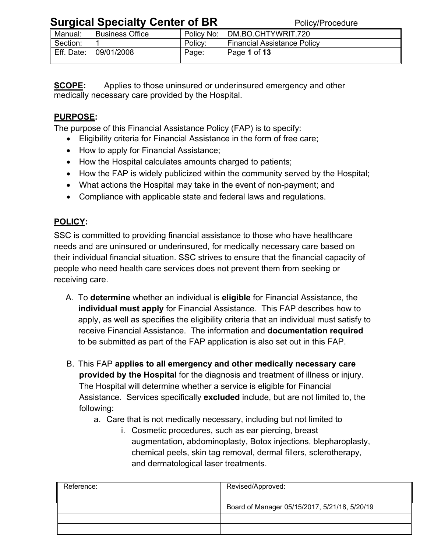| Manual:    | <b>Business Office</b> | Policy No: | DM.BO.CHTYWRIT.720                 |
|------------|------------------------|------------|------------------------------------|
| Section:   |                        | Policy:    | <b>Financial Assistance Policy</b> |
| Eff. Date: | 09/01/2008             | Page:      | Page 1 of 13                       |

**SCOPE:** Applies to those uninsured or underinsured emergency and other medically necessary care provided by the Hospital.

### **PURPOSE:**

The purpose of this Financial Assistance Policy (FAP) is to specify:

- Eligibility criteria for Financial Assistance in the form of free care;
- How to apply for Financial Assistance;
- How the Hospital calculates amounts charged to patients;
- How the FAP is widely publicized within the community served by the Hospital;
- What actions the Hospital may take in the event of non-payment; and
- Compliance with applicable state and federal laws and regulations.

### **POLICY:**

SSC is committed to providing financial assistance to those who have healthcare needs and are uninsured or underinsured, for medically necessary care based on their individual financial situation. SSC strives to ensure that the financial capacity of people who need health care services does not prevent them from seeking or receiving care.

- A. To **determine** whether an individual is **eligible** for Financial Assistance, the **individual must apply** for Financial Assistance. This FAP describes how to apply, as well as specifies the eligibility criteria that an individual must satisfy to receive Financial Assistance. The information and **documentation required** to be submitted as part of the FAP application is also set out in this FAP.
- B. This FAP **applies to all emergency and other medically necessary care provided by the Hospital** for the diagnosis and treatment of illness or injury. The Hospital will determine whether a service is eligible for Financial Assistance. Services specifically **excluded** include, but are not limited to, the following:
	- a. Care that is not medically necessary, including but not limited to
		- i. Cosmetic procedures, such as ear piercing, breast augmentation, abdominoplasty, Botox injections, blepharoplasty, chemical peels, skin tag removal, dermal fillers, sclerotherapy, and dermatological laser treatments.

| Reference: | Revised/Approved:                             |
|------------|-----------------------------------------------|
|            | Board of Manager 05/15/2017, 5/21/18, 5/20/19 |
|            |                                               |
|            |                                               |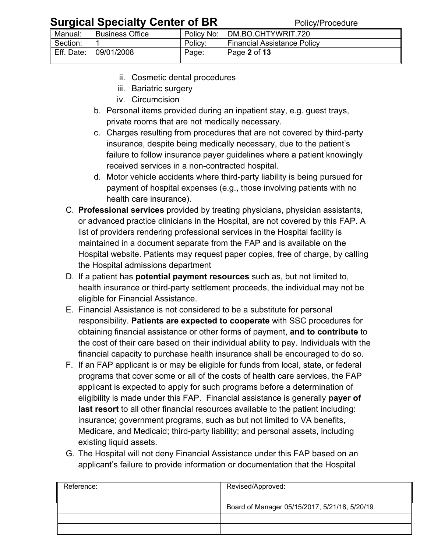|            |                        |            | .                                  |
|------------|------------------------|------------|------------------------------------|
| Manual:    | <b>Business Office</b> | Policy No: | DM.BO.CHTYWRIT.720                 |
| Section:   |                        | Policy:    | <b>Financial Assistance Policy</b> |
| Eff. Date: | 09/01/2008             | Page:      | Page 2 of 13                       |

- ii. Cosmetic dental procedures
- iii. Bariatric surgery
- iv. Circumcision
- b. Personal items provided during an inpatient stay, e.g. guest trays, private rooms that are not medically necessary.
- c. Charges resulting from procedures that are not covered by third-party insurance, despite being medically necessary, due to the patient's failure to follow insurance payer guidelines where a patient knowingly received services in a non-contracted hospital.
- d. Motor vehicle accidents where third-party liability is being pursued for payment of hospital expenses (e.g., those involving patients with no health care insurance).
- C. **Professional services** provided by treating physicians, physician assistants, or advanced practice clinicians in the Hospital, are not covered by this FAP. A list of providers rendering professional services in the Hospital facility is maintained in a document separate from the FAP and is available on the Hospital website. Patients may request paper copies, free of charge, by calling the Hospital admissions department
- D. If a patient has **potential payment resources** such as, but not limited to, health insurance or third-party settlement proceeds, the individual may not be eligible for Financial Assistance.
- E. Financial Assistance is not considered to be a substitute for personal responsibility. **Patients are expected to cooperate** with SSC procedures for obtaining financial assistance or other forms of payment, **and to contribute** to the cost of their care based on their individual ability to pay. Individuals with the financial capacity to purchase health insurance shall be encouraged to do so.
- F. If an FAP applicant is or may be eligible for funds from local, state, or federal programs that cover some or all of the costs of health care services, the FAP applicant is expected to apply for such programs before a determination of eligibility is made under this FAP. Financial assistance is generally **payer of last resort** to all other financial resources available to the patient including: insurance; government programs, such as but not limited to VA benefits, Medicare, and Medicaid; third-party liability; and personal assets, including existing liquid assets.
- G. The Hospital will not deny Financial Assistance under this FAP based on an applicant's failure to provide information or documentation that the Hospital

| Reference: | Revised/Approved:                             |
|------------|-----------------------------------------------|
|            |                                               |
|            | Board of Manager 05/15/2017, 5/21/18, 5/20/19 |
|            |                                               |
|            |                                               |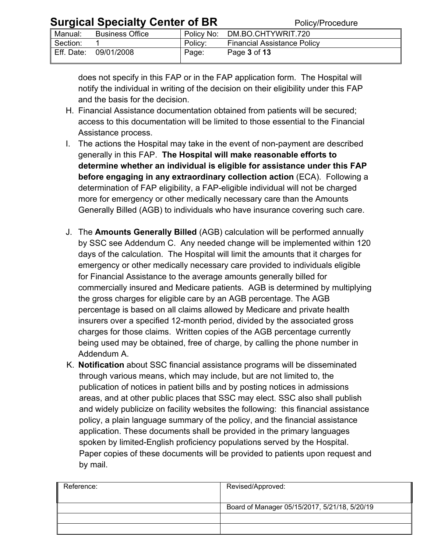| <b>UMISIONI UPUULUI UULUI UI DIA</b> |                        |            | י טווט און וטטטעווט                |
|--------------------------------------|------------------------|------------|------------------------------------|
| Manual:                              | <b>Business Office</b> | Policy No: | DM.BO.CHTYWRIT.720                 |
| Section:                             |                        | Policy:    | <b>Financial Assistance Policy</b> |
| Eff. Date:                           | 09/01/2008             | Page:      | Page 3 of 13                       |

does not specify in this FAP or in the FAP application form. The Hospital will notify the individual in writing of the decision on their eligibility under this FAP and the basis for the decision.

- H. Financial Assistance documentation obtained from patients will be secured; access to this documentation will be limited to those essential to the Financial Assistance process.
- I. The actions the Hospital may take in the event of non-payment are described generally in this FAP. **The Hospital will make reasonable efforts to determine whether an individual is eligible for assistance under this FAP before engaging in any extraordinary collection action** (ECA). Following a determination of FAP eligibility, a FAP-eligible individual will not be charged more for emergency or other medically necessary care than the Amounts Generally Billed (AGB) to individuals who have insurance covering such care.
- J. The **Amounts Generally Billed** (AGB) calculation will be performed annually by SSC see Addendum C. Any needed change will be implemented within 120 days of the calculation. The Hospital will limit the amounts that it charges for emergency or other medically necessary care provided to individuals eligible for Financial Assistance to the average amounts generally billed for commercially insured and Medicare patients. AGB is determined by multiplying the gross charges for eligible care by an AGB percentage. The AGB percentage is based on all claims allowed by Medicare and private health insurers over a specified 12-month period, divided by the associated gross charges for those claims. Written copies of the AGB percentage currently being used may be obtained, free of charge, by calling the phone number in Addendum A.
- K. **Notification** about SSC financial assistance programs will be disseminated through various means, which may include, but are not limited to, the publication of notices in patient bills and by posting notices in admissions areas, and at other public places that SSC may elect. SSC also shall publish and widely publicize on facility websites the following: this financial assistance policy, a plain language summary of the policy, and the financial assistance application. These documents shall be provided in the primary languages spoken by limited-English proficiency populations served by the Hospital. Paper copies of these documents will be provided to patients upon request and by mail.

| Revised/Approved:                             |
|-----------------------------------------------|
|                                               |
| Board of Manager 05/15/2017, 5/21/18, 5/20/19 |
|                                               |
|                                               |
|                                               |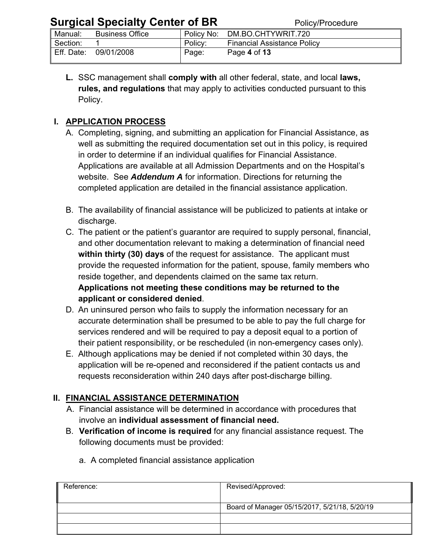| $\sum_{i=1}^{n} \sum_{j=1}^{n} \sum_{j=1}^{n} \sum_{j=1}^{n} \sum_{j=1}^{n} \sum_{j=1}^{n} \sum_{j=1}^{n} \sum_{j=1}^{n} \sum_{j=1}^{n} \sum_{j=1}^{n} \sum_{j=1}^{n} \sum_{j=1}^{n} \sum_{j=1}^{n} \sum_{j=1}^{n} \sum_{j=1}^{n} \sum_{j=1}^{n} \sum_{j=1}^{n} \sum_{j=1}^{n} \sum_{j=1}^{n} \sum_{j=1}^{n} \sum_{j=1}^{n} \sum_{j=1}^{n}$ |                        |            | , onov, roodaaro                   |
|---------------------------------------------------------------------------------------------------------------------------------------------------------------------------------------------------------------------------------------------------------------------------------------------------------------------------------------------|------------------------|------------|------------------------------------|
| Manual:                                                                                                                                                                                                                                                                                                                                     | <b>Business Office</b> | Policy No: | DM.BO.CHTYWRIT.720                 |
| Section:                                                                                                                                                                                                                                                                                                                                    |                        | Policy:    | <b>Financial Assistance Policy</b> |
| Eff. Date:                                                                                                                                                                                                                                                                                                                                  | 09/01/2008             | Page:      | Page 4 of 13                       |

**L.** SSC management shall **comply with** all other federal, state, and local **laws, rules, and regulations** that may apply to activities conducted pursuant to this Policy.

#### **I. APPLICATION PROCESS**

- A. Completing, signing, and submitting an application for Financial Assistance, as well as submitting the required documentation set out in this policy, is required in order to determine if an individual qualifies for Financial Assistance. Applications are available at all Admission Departments and on the Hospital's website. See *Addendum A* for information. Directions for returning the completed application are detailed in the financial assistance application.
- B. The availability of financial assistance will be publicized to patients at intake or discharge.
- C. The patient or the patient's guarantor are required to supply personal, financial, and other documentation relevant to making a determination of financial need **within thirty (30) days** of the request for assistance. The applicant must provide the requested information for the patient, spouse, family members who reside together, and dependents claimed on the same tax return. **Applications not meeting these conditions may be returned to the**

# **applicant or considered denied**.

- D. An uninsured person who fails to supply the information necessary for an accurate determination shall be presumed to be able to pay the full charge for services rendered and will be required to pay a deposit equal to a portion of their patient responsibility, or be rescheduled (in non-emergency cases only).
- E. Although applications may be denied if not completed within 30 days, the application will be re-opened and reconsidered if the patient contacts us and requests reconsideration within 240 days after post-discharge billing.

### **II. FINANCIAL ASSISTANCE DETERMINATION**

- A. Financial assistance will be determined in accordance with procedures that involve an **individual assessment of financial need.**
- B. **Verification of income is required** for any financial assistance request. The following documents must be provided:

| II.<br>Reference: | Revised/Approved:                             |
|-------------------|-----------------------------------------------|
|                   |                                               |
|                   | Board of Manager 05/15/2017, 5/21/18, 5/20/19 |
|                   |                                               |
|                   |                                               |

a. A completed financial assistance application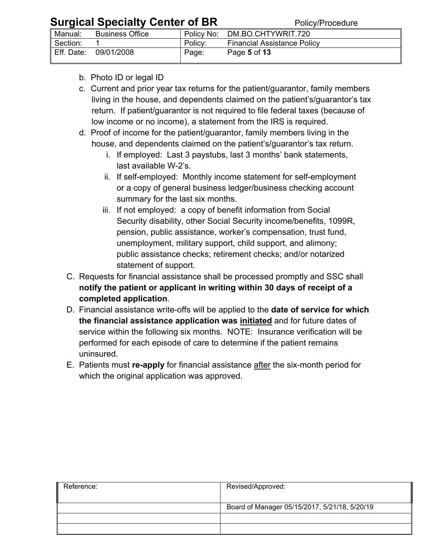| $\frac{1}{2}$ |                        |            | טווט וועטווט                       |
|---------------|------------------------|------------|------------------------------------|
| Manual:       | <b>Business Office</b> | Policy No: | DM.BO.CHTYWRIT.720                 |
| Section:      |                        | Policy:    | <b>Financial Assistance Policy</b> |
| Eff. Date:    | 09/01/2008             | Page:      | Page 5 of 13                       |

- b. Photo ID or legal ID
- c. Current and prior year tax returns for the patient/guarantor, family members living in the house, and dependents claimed on the patient's/guarantor's tax return. If patient/guarantor is not required to file federal taxes (because of low income or no income), a statement from the IRS is required.
- d. Proof of income for the patient/guarantor, family members living in the house, and dependents claimed on the patient's/guarantor's tax return.
	- i. If employed: Last 3 paystubs, last 3 months' bank statements, last available W-2's.
	- ii. If self-employed: Monthly income statement for self-employment or a copy of general business ledger/business checking account summary for the last six months.
	- iii. If not employed: a copy of benefit information from Social Security disability, other Social Security income/benefits, 1099R, pension, public assistance, worker's compensation, trust fund, unemployment, military support, child support, and alimony; public assistance checks; retirement checks; and/or notarized statement of support.
- C. Requests for financial assistance shall be processed promptly and SSC shall **notify the patient or applicant in writing within 30 days of receipt of a completed application**.
- D. Financial assistance write-offs will be applied to the **date of service for which the financial assistance application was initiated** and for future dates of service within the following six months. NOTE: Insurance verification will be performed for each episode of care to determine if the patient remains uninsured.
- E. Patients must **re-apply** for financial assistance after the six-month period for which the original application was approved.

| Reference: | Revised/Approved:                             |
|------------|-----------------------------------------------|
|            | Board of Manager 05/15/2017, 5/21/18, 5/20/19 |
|            |                                               |
|            |                                               |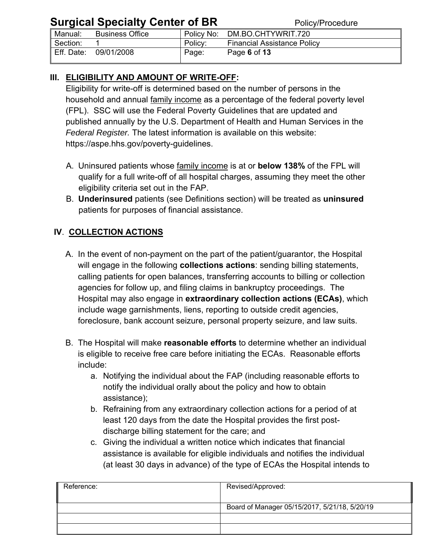| $\bullet$ . Specified to the second of $\bullet$ . Second the second second second second second second second second second second second second second second second second second second second second second second second second s |                        |         | .                                  |
|-----------------------------------------------------------------------------------------------------------------------------------------------------------------------------------------------------------------------------------------|------------------------|---------|------------------------------------|
| Manual:                                                                                                                                                                                                                                 | <b>Business Office</b> |         | Policy No: DM.BO.CHTYWRIT.720      |
| Section:                                                                                                                                                                                                                                |                        | Policy: | <b>Financial Assistance Policy</b> |
| Eff. Date:                                                                                                                                                                                                                              | 09/01/2008             | Page:   | Page 6 of 13                       |

### **III. ELIGIBILITY AND AMOUNT OF WRITE-OFF:**

Eligibility for write-off is determined based on the number of persons in the household and annual family income as a percentage of the federal poverty level (FPL). SSC will use the Federal Poverty Guidelines that are updated and published annually by the U.S. Department of Health and Human Services in the *Federal Register.* The latest information is available on this website: https://aspe.hhs.gov/poverty-guidelines.

- A. Uninsured patients whose family income is at or **below 138%** of the FPL will qualify for a full write-off of all hospital charges, assuming they meet the other eligibility criteria set out in the FAP.
- B. **Underinsured** patients (see Definitions section) will be treated as **uninsured** patients for purposes of financial assistance.

### **IV**. **COLLECTION ACTIONS**

- A. In the event of non-payment on the part of the patient/guarantor, the Hospital will engage in the following **collections actions**: sending billing statements, calling patients for open balances, transferring accounts to billing or collection agencies for follow up, and filing claims in bankruptcy proceedings. The Hospital may also engage in **extraordinary collection actions (ECAs)**, which include wage garnishments, liens, reporting to outside credit agencies, foreclosure, bank account seizure, personal property seizure, and law suits.
- B. The Hospital will make **reasonable efforts** to determine whether an individual is eligible to receive free care before initiating the ECAs. Reasonable efforts include:
	- a. Notifying the individual about the FAP (including reasonable efforts to notify the individual orally about the policy and how to obtain assistance);
	- b. Refraining from any extraordinary collection actions for a period of at least 120 days from the date the Hospital provides the first postdischarge billing statement for the care; and
	- c. Giving the individual a written notice which indicates that financial assistance is available for eligible individuals and notifies the individual (at least 30 days in advance) of the type of ECAs the Hospital intends to

| Reference: | Revised/Approved:                             |
|------------|-----------------------------------------------|
|            | Board of Manager 05/15/2017, 5/21/18, 5/20/19 |
|            |                                               |
|            |                                               |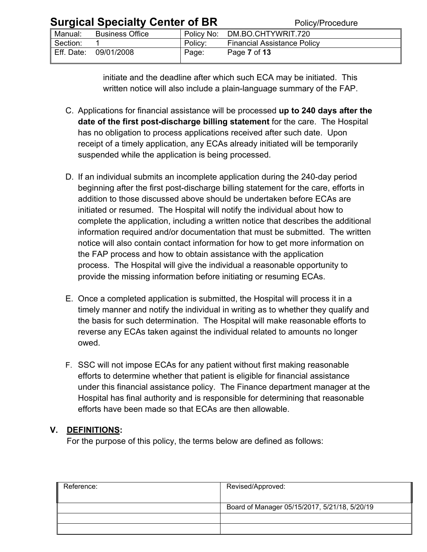| <b>Surgical Specialty Center of BR</b> |                        |         | Policy/Procedure                   |  |
|----------------------------------------|------------------------|---------|------------------------------------|--|
| Manual:                                | <b>Business Office</b> |         | Policy No: DM.BO.CHTYWRIT.720      |  |
| Section:                               |                        | Policy: | <b>Financial Assistance Policy</b> |  |
|                                        | Eff. Date: 09/01/2008  | Page:   | Page 7 of 13                       |  |

initiate and the deadline after which such ECA may be initiated. This written notice will also include a plain-language summary of the FAP.

- C. Applications for financial assistance will be processed **up to 240 days after the date of the first post-discharge billing statement** for the care. The Hospital has no obligation to process applications received after such date. Upon receipt of a timely application, any ECAs already initiated will be temporarily suspended while the application is being processed.
- D. If an individual submits an incomplete application during the 240-day period beginning after the first post-discharge billing statement for the care, efforts in addition to those discussed above should be undertaken before ECAs are initiated or resumed. The Hospital will notify the individual about how to complete the application, including a written notice that describes the additional information required and/or documentation that must be submitted. The written notice will also contain contact information for how to get more information on the FAP process and how to obtain assistance with the application process. The Hospital will give the individual a reasonable opportunity to provide the missing information before initiating or resuming ECAs.
- E. Once a completed application is submitted, the Hospital will process it in a timely manner and notify the individual in writing as to whether they qualify and the basis for such determination. The Hospital will make reasonable efforts to reverse any ECAs taken against the individual related to amounts no longer owed.
- F. SSC will not impose ECAs for any patient without first making reasonable efforts to determine whether that patient is eligible for financial assistance under this financial assistance policy. The Finance department manager at the Hospital has final authority and is responsible for determining that reasonable efforts have been made so that ECAs are then allowable.

#### **V. DEFINITIONS:**

For the purpose of this policy, the terms below are defined as follows:

| Reference: | Revised/Approved:                             |
|------------|-----------------------------------------------|
|            | Board of Manager 05/15/2017, 5/21/18, 5/20/19 |
|            |                                               |
|            |                                               |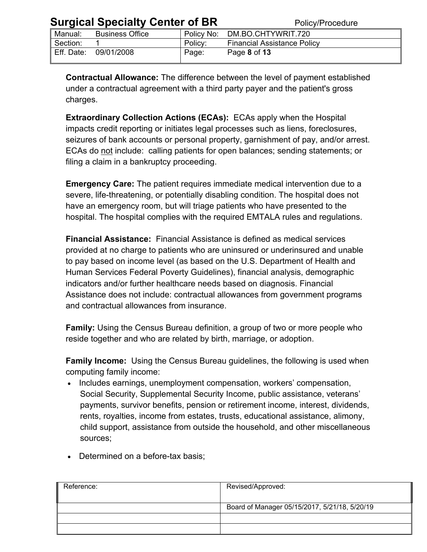|  | <b>Surgical Specialty Center of BR</b> |  |  |
|--|----------------------------------------|--|--|
|--|----------------------------------------|--|--|

| <b>Particle of Secondary Politics</b> of <b>P</b> ix |                        |            | , onov, roocaarc                   |  |
|------------------------------------------------------|------------------------|------------|------------------------------------|--|
| Manual:                                              | <b>Business Office</b> | Policy No: | DM.BO.CHTYWRIT.720                 |  |
| Section:                                             |                        | Policy:    | <b>Financial Assistance Policy</b> |  |
| Eff. Date:                                           | 09/01/2008             | Page:      | Page 8 of 13                       |  |

 **Contractual Allowance:** The difference between the level of payment established under a contractual agreement with a third party payer and the patient's gross charges.

**Extraordinary Collection Actions (ECAs):** ECAs apply when the Hospital impacts credit reporting or initiates legal processes such as liens, foreclosures, seizures of bank accounts or personal property, garnishment of pay, and/or arrest. ECAs do not include: calling patients for open balances; sending statements; or filing a claim in a bankruptcy proceeding.

**Emergency Care:** The patient requires immediate medical intervention due to a severe, life-threatening, or potentially disabling condition. The hospital does not have an emergency room, but will triage patients who have presented to the hospital. The hospital complies with the required EMTALA rules and regulations.

**Financial Assistance:** Financial Assistance is defined as medical services provided at no charge to patients who are uninsured or underinsured and unable to pay based on income level (as based on the U.S. Department of Health and Human Services Federal Poverty Guidelines), financial analysis, demographic indicators and/or further healthcare needs based on diagnosis. Financial Assistance does not include: contractual allowances from government programs and contractual allowances from insurance.

**Family:** Using the Census Bureau definition, a group of two or more people who reside together and who are related by birth, marriage, or adoption.

**Family Income:** Using the Census Bureau guidelines, the following is used when computing family income:

• Includes earnings, unemployment compensation, workers' compensation, Social Security, Supplemental Security Income, public assistance, veterans' payments, survivor benefits, pension or retirement income, interest, dividends, rents, royalties, income from estates, trusts, educational assistance, alimony, child support, assistance from outside the household, and other miscellaneous sources;

| Reference: | Revised/Approved:                             |
|------------|-----------------------------------------------|
|            | Board of Manager 05/15/2017, 5/21/18, 5/20/19 |
|            |                                               |
|            |                                               |

• Determined on a before-tax basis;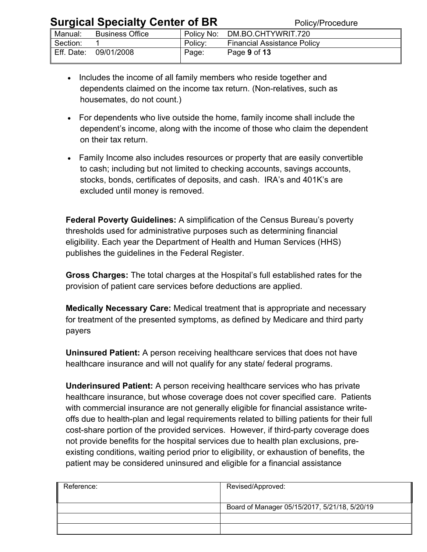| <b>Uurgiual Opecially Octrice Of Div</b> |                        |         | <b>I VIIVAII TUUCUULC</b>          |  |
|------------------------------------------|------------------------|---------|------------------------------------|--|
| Manual:                                  | <b>Business Office</b> |         | Policy No: DM.BO.CHTYWRIT.720      |  |
| Section:                                 |                        | Policy: | <b>Financial Assistance Policy</b> |  |
| Eff. Date:                               | 09/01/2008             | Page:   | Page 9 of 13                       |  |

- Includes the income of all family members who reside together and dependents claimed on the income tax return. (Non-relatives, such as housemates, do not count.)
- For dependents who live outside the home, family income shall include the dependent's income, along with the income of those who claim the dependent on their tax return.
- Family Income also includes resources or property that are easily convertible to cash; including but not limited to checking accounts, savings accounts, stocks, bonds, certificates of deposits, and cash. IRA's and 401K's are excluded until money is removed.

**Federal Poverty Guidelines:** A simplification of the Census Bureau's poverty thresholds used for administrative purposes such as determining financial eligibility. Each year the Department of Health and Human Services (HHS) publishes the guidelines in the Federal Register.

**Gross Charges:** The total charges at the Hospital's full established rates for the provision of patient care services before deductions are applied.

**Medically Necessary Care:** Medical treatment that is appropriate and necessary for treatment of the presented symptoms, as defined by Medicare and third party payers

**Uninsured Patient:** A person receiving healthcare services that does not have healthcare insurance and will not qualify for any state/ federal programs.

**Underinsured Patient:** A person receiving healthcare services who has private healthcare insurance, but whose coverage does not cover specified care. Patients with commercial insurance are not generally eligible for financial assistance writeoffs due to health-plan and legal requirements related to billing patients for their full cost-share portion of the provided services. However, if third-party coverage does not provide benefits for the hospital services due to health plan exclusions, preexisting conditions, waiting period prior to eligibility, or exhaustion of benefits, the patient may be considered uninsured and eligible for a financial assistance

| Reference: | Revised/Approved:                             |
|------------|-----------------------------------------------|
|            | Board of Manager 05/15/2017, 5/21/18, 5/20/19 |
|            |                                               |
|            |                                               |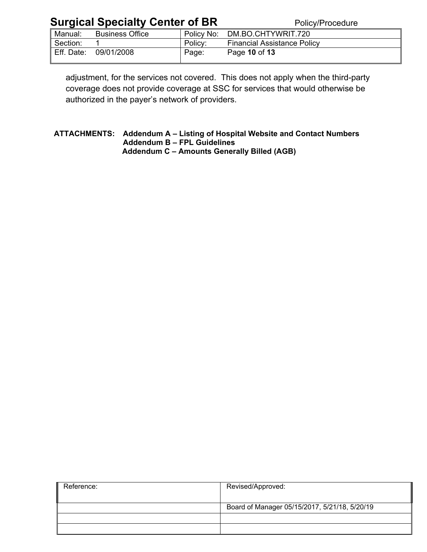| Manual:    | <b>Business Office</b> | Policy No: | DM.BO.CHTYWRIT.720                 |  |
|------------|------------------------|------------|------------------------------------|--|
| Section:   |                        | Policy:    | <b>Financial Assistance Policy</b> |  |
| Eff. Date: | 09/01/2008             | Page:      | Page 10 of 13                      |  |

adjustment, for the services not covered. This does not apply when the third-party coverage does not provide coverage at SSC for services that would otherwise be authorized in the payer's network of providers.

#### **ATTACHMENTS: Addendum A – Listing of Hospital Website and Contact Numbers Addendum B – FPL Guidelines Addendum C – Amounts Generally Billed (AGB)**

| Reference: | Revised/Approved:                             |
|------------|-----------------------------------------------|
|            | Board of Manager 05/15/2017, 5/21/18, 5/20/19 |
|            |                                               |
|            |                                               |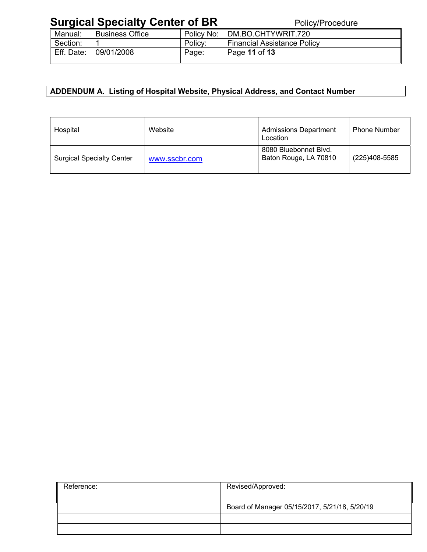| Manual:    | <b>Business Office</b> | Policy No: | DM.BO.CHTYWRIT.720                 |  |
|------------|------------------------|------------|------------------------------------|--|
| Section:   |                        | Policy:    | <b>Financial Assistance Policy</b> |  |
| Eff. Date: | 09/01/2008             | Page:      | Page 11 of 13                      |  |

#### **ADDENDUM A. Listing of Hospital Website, Physical Address, and Contact Number**

| Hospital                         | Website       | <b>Admissions Department</b><br>Location       | <b>Phone Number</b> |
|----------------------------------|---------------|------------------------------------------------|---------------------|
| <b>Surgical Specialty Center</b> | www.sscbr.com | 8080 Bluebonnet Blvd.<br>Baton Rouge, LA 70810 | (225)408-5585       |

| Reference: | Revised/Approved:                             |
|------------|-----------------------------------------------|
|            | Board of Manager 05/15/2017, 5/21/18, 5/20/19 |
|            |                                               |
|            |                                               |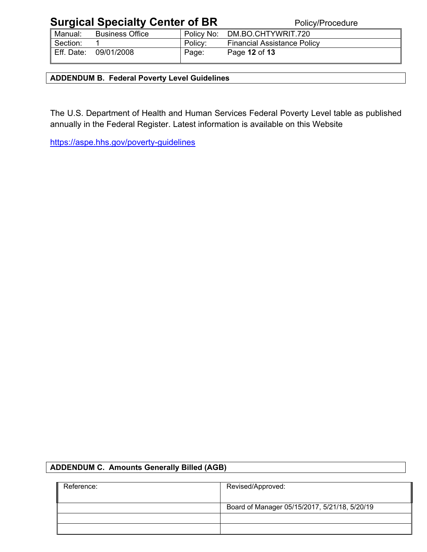| Manual:    | <b>Business Office</b> | Policy No: | DM.BO.CHTYWRIT.720                 |
|------------|------------------------|------------|------------------------------------|
| Section:   |                        | Policy:    | <b>Financial Assistance Policy</b> |
| Eff. Date: | 09/01/2008             | Page:      | Page 12 of 13                      |

**ADDENDUM B. Federal Poverty Level Guidelines** 

The U.S. Department of Health and Human Services Federal Poverty Level table as published annually in the Federal Register. Latest information is available on this Website

https://aspe.hhs.gov/poverty-guidelines

#### **ADDENDUM C. Amounts Generally Billed (AGB)**

| Reference: | Revised/Approved:                             |
|------------|-----------------------------------------------|
|            |                                               |
|            | Board of Manager 05/15/2017, 5/21/18, 5/20/19 |
|            |                                               |
|            |                                               |